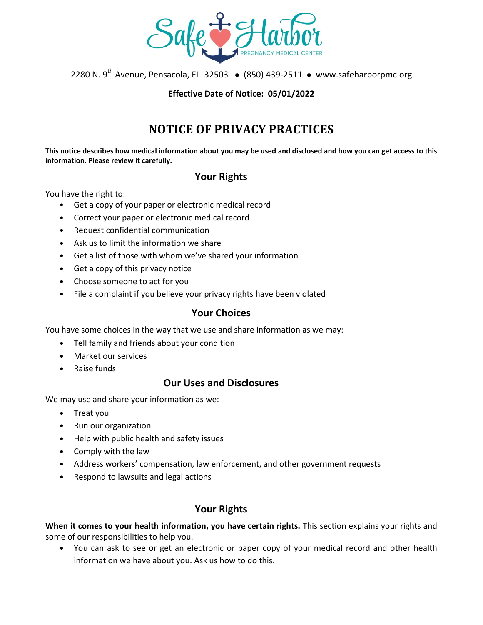

2280 N. 9<sup>th</sup> Avenue, Pensacola, FL 32503 · (850) 439-2511 · www.safeharborpmc.org

### Effective Date of Notice: 05/01/2022

# NOTICE OF PRIVACY PRACTICES

This notice describes how medical information about you may be used and disclosed and how you can get access to this information. Please review it carefully.

# Your Rights

You have the right to:

- Get a copy of your paper or electronic medical record
- Correct your paper or electronic medical record
- Request confidential communication
- Ask us to limit the information we share
- Get a list of those with whom we've shared your information
- Get a copy of this privacy notice
- Choose someone to act for you
- File a complaint if you believe your privacy rights have been violated

# Your Choices

You have some choices in the way that we use and share information as we may:

- Tell family and friends about your condition
- Market our services
- Raise funds

# Our Uses and Disclosures

We may use and share your information as we:

- Treat you
- Run our organization
- Help with public health and safety issues
- Comply with the law
- Address workers' compensation, law enforcement, and other government requests
- Respond to lawsuits and legal actions

# Your Rights

When it comes to your health information, you have certain rights. This section explains your rights and some of our responsibilities to help you.

• You can ask to see or get an electronic or paper copy of your medical record and other health information we have about you. Ask us how to do this.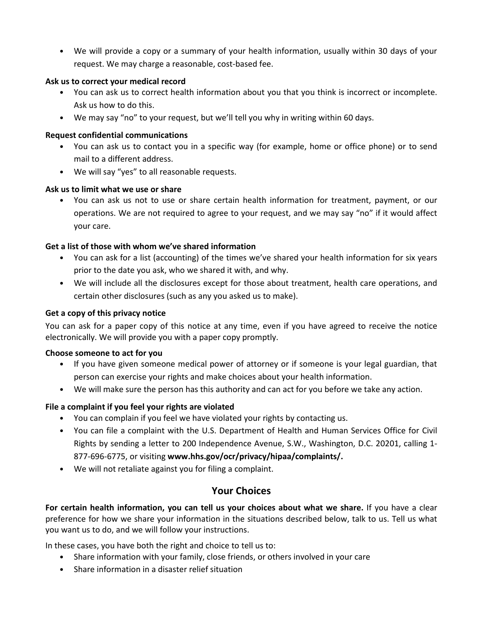• We will provide a copy or a summary of your health information, usually within 30 days of your request. We may charge a reasonable, cost-based fee.

### Ask us to correct your medical record

- You can ask us to correct health information about you that you think is incorrect or incomplete. Ask us how to do this.
- We may say "no" to your request, but we'll tell you why in writing within 60 days.

# Request confidential communications

- You can ask us to contact you in a specific way (for example, home or office phone) or to send mail to a different address.
- We will say "yes" to all reasonable requests.

### Ask us to limit what we use or share

• You can ask us not to use or share certain health information for treatment, payment, or our operations. We are not required to agree to your request, and we may say "no" if it would affect your care.

### Get a list of those with whom we've shared information

- You can ask for a list (accounting) of the times we've shared your health information for six years prior to the date you ask, who we shared it with, and why.
- We will include all the disclosures except for those about treatment, health care operations, and certain other disclosures (such as any you asked us to make).

# Get a copy of this privacy notice

You can ask for a paper copy of this notice at any time, even if you have agreed to receive the notice electronically. We will provide you with a paper copy promptly.

### Choose someone to act for you

- If you have given someone medical power of attorney or if someone is your legal guardian, that person can exercise your rights and make choices about your health information.
- We will make sure the person has this authority and can act for you before we take any action.

# File a complaint if you feel your rights are violated

- You can complain if you feel we have violated your rights by contacting us.
- You can file a complaint with the U.S. Department of Health and Human Services Office for Civil Rights by sending a letter to 200 Independence Avenue, S.W., Washington, D.C. 20201, calling 1- 877-696-6775, or visiting www.hhs.gov/ocr/privacy/hipaa/complaints/.
- We will not retaliate against you for filing a complaint.

# Your Choices

For certain health information, you can tell us your choices about what we share. If you have a clear preference for how we share your information in the situations described below, talk to us. Tell us what you want us to do, and we will follow your instructions.

In these cases, you have both the right and choice to tell us to:

- Share information with your family, close friends, or others involved in your care
- Share information in a disaster relief situation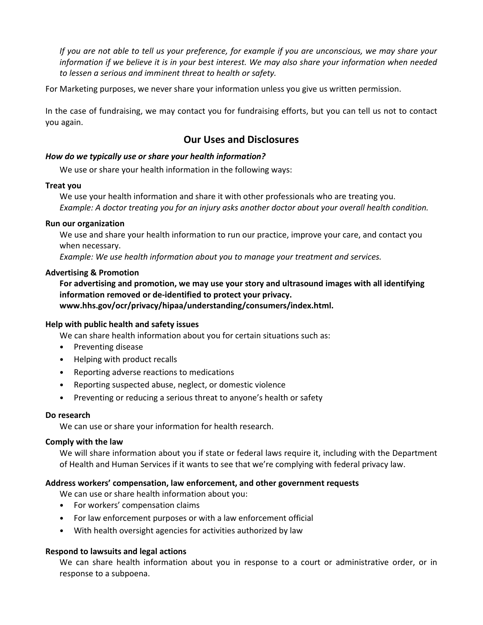If you are not able to tell us your preference, for example if you are unconscious, we may share your information if we believe it is in your best interest. We may also share your information when needed to lessen a serious and imminent threat to health or safety.

For Marketing purposes, we never share your information unless you give us written permission.

In the case of fundraising, we may contact you for fundraising efforts, but you can tell us not to contact you again.

# Our Uses and Disclosures

### How do we typically use or share your health information?

We use or share your health information in the following ways:

#### Treat you

We use your health information and share it with other professionals who are treating you. Example: A doctor treating you for an injury asks another doctor about your overall health condition.

### Run our organization

We use and share your health information to run our practice, improve your care, and contact you when necessary.

Example: We use health information about you to manage your treatment and services.

### Advertising & Promotion

For advertising and promotion, we may use your story and ultrasound images with all identifying information removed or de-identified to protect your privacy. www.hhs.gov/ocr/privacy/hipaa/understanding/consumers/index.html.

#### Help with public health and safety issues

We can share health information about you for certain situations such as:

- Preventing disease
- Helping with product recalls
- Reporting adverse reactions to medications
- Reporting suspected abuse, neglect, or domestic violence
- Preventing or reducing a serious threat to anyone's health or safety

#### Do research

We can use or share your information for health research.

#### Comply with the law

We will share information about you if state or federal laws require it, including with the Department of Health and Human Services if it wants to see that we're complying with federal privacy law.

#### Address workers' compensation, law enforcement, and other government requests

We can use or share health information about you:

- For workers' compensation claims
- For law enforcement purposes or with a law enforcement official
- With health oversight agencies for activities authorized by law

### Respond to lawsuits and legal actions

We can share health information about you in response to a court or administrative order, or in response to a subpoena.